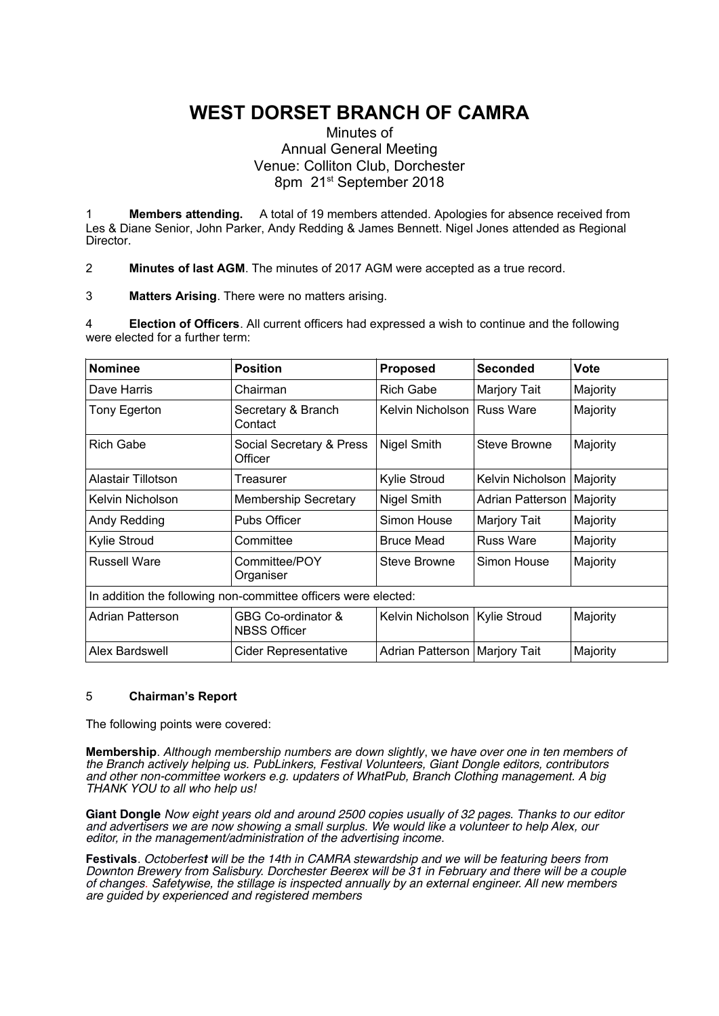# **WEST DORSET BRANCH OF CAMRA**

# Minutes of Annual General Meeting Venue: Colliton Club, Dorchester 8pm 21<sup>st</sup> September 2018

1 **Members attending.** A total of 19 members attended. Apologies for absence received from Les & Diane Senior, John Parker, Andy Redding & James Bennett. Nigel Jones attended as Regional Director.

2 **Minutes of last AGM**. The minutes of 2017 AGM were accepted as a true record.

3 **Matters Arising**. There were no matters arising.

4 **Election of Officers**. All current officers had expressed a wish to continue and the following were elected for a further term:

| <b>Nominee</b>                                                 | <b>Position</b>                           | Proposed                        | <b>Seconded</b>     | <b>Vote</b> |
|----------------------------------------------------------------|-------------------------------------------|---------------------------------|---------------------|-------------|
| Dave Harris                                                    | Chairman                                  | <b>Rich Gabe</b>                | Marjory Tait        | Majority    |
| Tony Egerton                                                   | Secretary & Branch<br>Contact             | Kelvin Nicholson                | <b>Russ Ware</b>    | Majority    |
| <b>Rich Gabe</b>                                               | Social Secretary & Press<br>Officer       | Nigel Smith                     | Steve Browne        | Majority    |
| Alastair Tillotson                                             | Treasurer                                 | Kylie Stroud                    | Kelvin Nicholson    | Majority    |
| Kelvin Nicholson                                               | <b>Membership Secretary</b>               | Nigel Smith                     | Adrian Patterson    | Majority    |
| Andy Redding                                                   | <b>Pubs Officer</b>                       | Simon House                     | <b>Marjory Tait</b> | Majority    |
| Kylie Stroud                                                   | Committee                                 | <b>Bruce Mead</b>               | <b>Russ Ware</b>    | Majority    |
| <b>Russell Ware</b>                                            | Committee/POY<br>Organiser                | Steve Browne                    | Simon House         | Majority    |
| In addition the following non-committee officers were elected: |                                           |                                 |                     |             |
| Adrian Patterson                                               | GBG Co-ordinator &<br><b>NBSS Officer</b> | Kelvin Nicholson                | Kylie Stroud        | Majority    |
| Alex Bardswell                                                 | <b>Cider Representative</b>               | Adrian Patterson   Marjory Tait |                     | Majority    |

# 5 **Chairman's Report**

The following points were covered:

**Membership**. *Although membership numbers are down slightly*, we have over one in ten members of the Branch actively helping us. PubLinkers, Festival Volunteers, Giant Dongle editors, contributors and other non-committee workers e.g. updaters of WhatPub, Branch Clothing management. A big THANK YOU to all who help us!

**Giant Dongle** Now eight years old and around 2500 copies usually of 32 pages. Thanks to our editor and advertisers we are now showing a small surplus. We would like a volunteer to help Alex, our editor, in the management/administration of the advertising income.

**Festivals**. Octoberfes**t** will be the 14th in CAMRA stewardship and we will be featuring beers from Downton Brewery from Salisbury. Dorchester Beerex will be 31 in February and there will be a couple of changes. Safetywise, the stillage is inspected annually by an external engineer. All new members are guided by experienced and registered members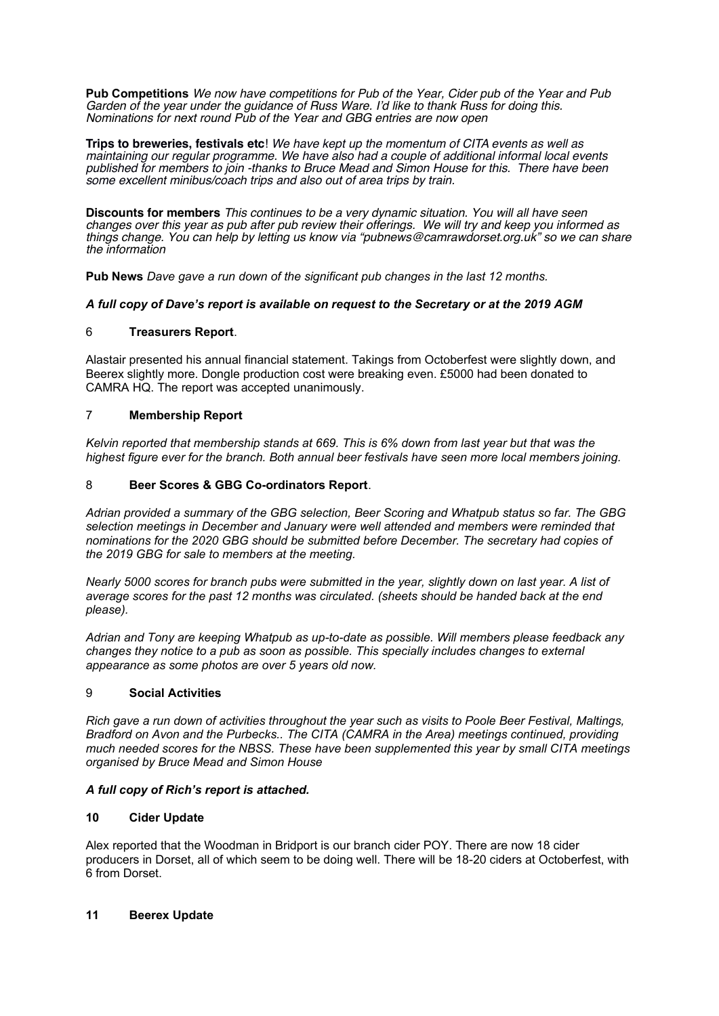**Pub Competitions** We now have competitions for Pub of the Year, Cider pub of the Year and Pub Garden of the year under the guidance of Russ Ware. I'd like to thank Russ for doing this. Nominations for next round Pub of the Year and GBG entries are now open

**Trips to breweries, festivals etc**! We have kept up the momentum of CITA events as well as maintaining our regular programme. We have also had a couple of additional informal local events published for members to join -thanks to Bruce Mead and Simon House for this. There have been some excellent minibus/coach trips and also out of area trips by train.

**Discounts for members** This continues to be a very dynamic situation. You will all have seen changes over this year as pub after pub review their offerings. We will try and keep you informed as things change. You can help by letting us know via "pubnews@camrawdorset.org.uk" so we can share the information

**Pub News** *Dave gave a run down of the significant pub changes in the last 12 months.*

## *A full copy of Dave's report is available on request to the Secretary or at the 2019 AGM*

## 6 **Treasurers Report**.

Alastair presented his annual financial statement. Takings from Octoberfest were slightly down, and Beerex slightly more. Dongle production cost were breaking even. £5000 had been donated to CAMRA HQ. The report was accepted unanimously.

## 7 **Membership Report**

*Kelvin reported that membership stands at 669. This is 6% down from last year but that was the highest figure ever for the branch. Both annual beer festivals have seen more local members joining.*

## 8 **Beer Scores & GBG Co-ordinators Report**.

*Adrian provided a summary of the GBG selection, Beer Scoring and Whatpub status so far. The GBG selection meetings in December and January were well attended and members were reminded that nominations for the 2020 GBG should be submitted before December. The secretary had copies of the 2019 GBG for sale to members at the meeting.*

*Nearly 5000 scores for branch pubs were submitted in the year, slightly down on last year. A list of average scores for the past 12 months was circulated. (sheets should be handed back at the end please).*

*Adrian and Tony are keeping Whatpub as up-to-date as possible. Will members please feedback any changes they notice to a pub as soon as possible. This specially includes changes to external appearance as some photos are over 5 years old now.*

#### 9 **Social Activities**

*Rich gave a run down of activities throughout the year such as visits to Poole Beer Festival, Maltings, Bradford on Avon and the Purbecks.. The CITA (CAMRA in the Area) meetings continued, providing much needed scores for the NBSS. These have been supplemented this year by small CITA meetings organised by Bruce Mead and Simon House*

#### *A full copy of Rich's report is attached.*

#### **10 Cider Update**

Alex reported that the Woodman in Bridport is our branch cider POY. There are now 18 cider producers in Dorset, all of which seem to be doing well. There will be 18-20 ciders at Octoberfest, with 6 from Dorset.

#### **11 Beerex Update**